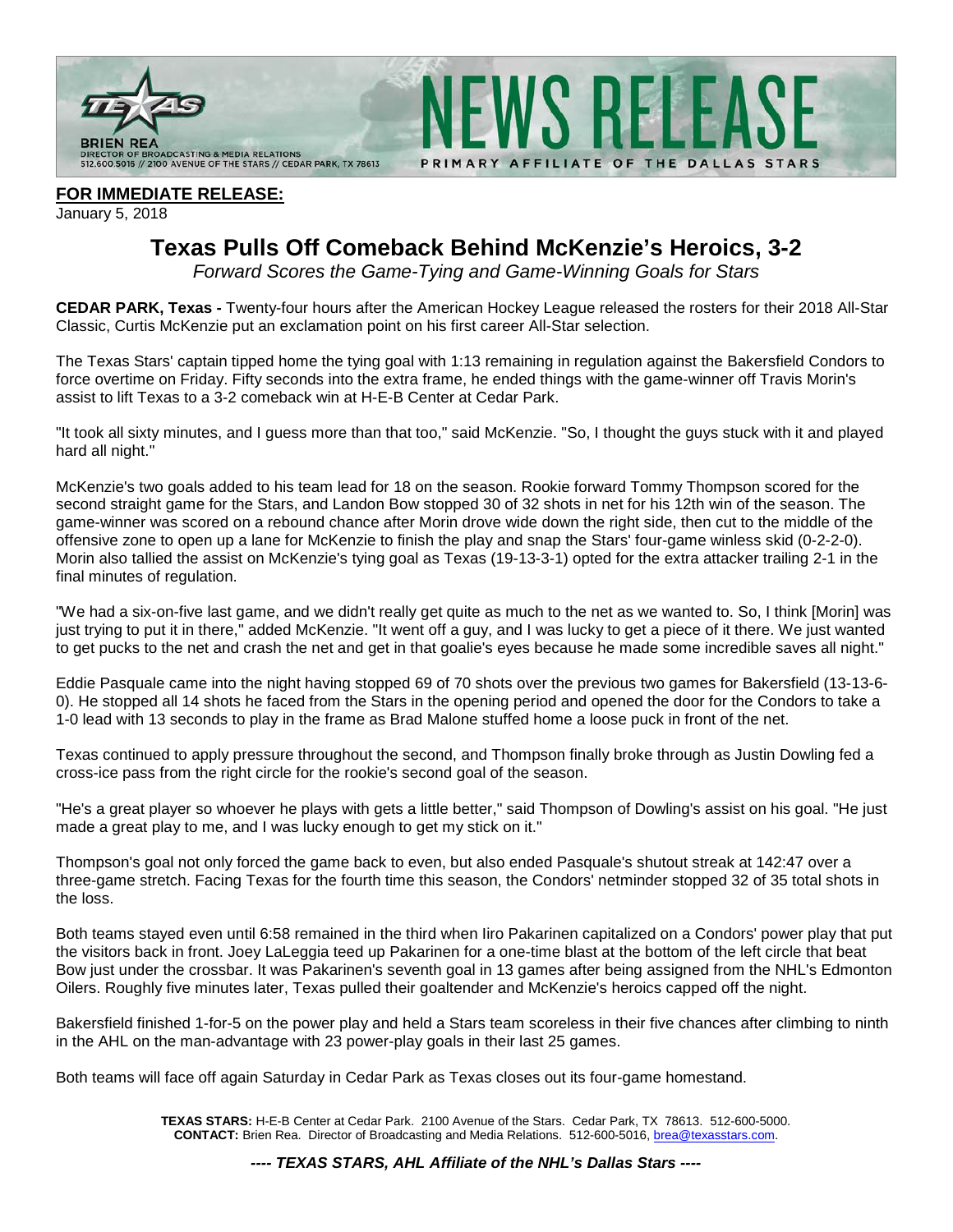

**FOR IMMEDIATE RELEASE:**

January 5, 2018

# **Texas Pulls Off Comeback Behind McKenzie's Heroics, 3-2**

*Forward Scores the Game-Tying and Game-Winning Goals for Stars*

**CEDAR PARK, Texas -** Twenty-four hours after the American Hockey League released the rosters for their 2018 All-Star Classic, Curtis McKenzie put an exclamation point on his first career All-Star selection.

The Texas Stars' captain tipped home the tying goal with 1:13 remaining in regulation against the Bakersfield Condors to force overtime on Friday. Fifty seconds into the extra frame, he ended things with the game-winner off Travis Morin's assist to lift Texas to a 3-2 comeback win at H-E-B Center at Cedar Park.

"It took all sixty minutes, and I guess more than that too," said McKenzie. "So, I thought the guys stuck with it and played hard all night."

McKenzie's two goals added to his team lead for 18 on the season. Rookie forward Tommy Thompson scored for the second straight game for the Stars, and Landon Bow stopped 30 of 32 shots in net for his 12th win of the season. The game-winner was scored on a rebound chance after Morin drove wide down the right side, then cut to the middle of the offensive zone to open up a lane for McKenzie to finish the play and snap the Stars' four-game winless skid (0-2-2-0). Morin also tallied the assist on McKenzie's tying goal as Texas (19-13-3-1) opted for the extra attacker trailing 2-1 in the final minutes of regulation.

"We had a six-on-five last game, and we didn't really get quite as much to the net as we wanted to. So, I think [Morin] was just trying to put it in there," added McKenzie. "It went off a guy, and I was lucky to get a piece of it there. We just wanted to get pucks to the net and crash the net and get in that goalie's eyes because he made some incredible saves all night."

Eddie Pasquale came into the night having stopped 69 of 70 shots over the previous two games for Bakersfield (13-13-6- 0). He stopped all 14 shots he faced from the Stars in the opening period and opened the door for the Condors to take a 1-0 lead with 13 seconds to play in the frame as Brad Malone stuffed home a loose puck in front of the net.

Texas continued to apply pressure throughout the second, and Thompson finally broke through as Justin Dowling fed a cross-ice pass from the right circle for the rookie's second goal of the season.

"He's a great player so whoever he plays with gets a little better," said Thompson of Dowling's assist on his goal. "He just made a great play to me, and I was lucky enough to get my stick on it."

Thompson's goal not only forced the game back to even, but also ended Pasquale's shutout streak at 142:47 over a three-game stretch. Facing Texas for the fourth time this season, the Condors' netminder stopped 32 of 35 total shots in the loss.

Both teams stayed even until 6:58 remained in the third when Iiro Pakarinen capitalized on a Condors' power play that put the visitors back in front. Joey LaLeggia teed up Pakarinen for a one-time blast at the bottom of the left circle that beat Bow just under the crossbar. It was Pakarinen's seventh goal in 13 games after being assigned from the NHL's Edmonton Oilers. Roughly five minutes later, Texas pulled their goaltender and McKenzie's heroics capped off the night.

Bakersfield finished 1-for-5 on the power play and held a Stars team scoreless in their five chances after climbing to ninth in the AHL on the man-advantage with 23 power-play goals in their last 25 games.

Both teams will face off again Saturday in Cedar Park as Texas closes out its four-game homestand.

**TEXAS STARS:** H-E-B Center at Cedar Park. 2100 Avenue of the Stars. Cedar Park, TX 78613. 512-600-5000. **CONTACT:** Brien Rea. Director of Broadcasting and Media Relations. 512-600-5016, [brea@texasstars.com.](mailto:brea@texasstars.com)

*---- TEXAS STARS, AHL Affiliate of the NHL's Dallas Stars ----*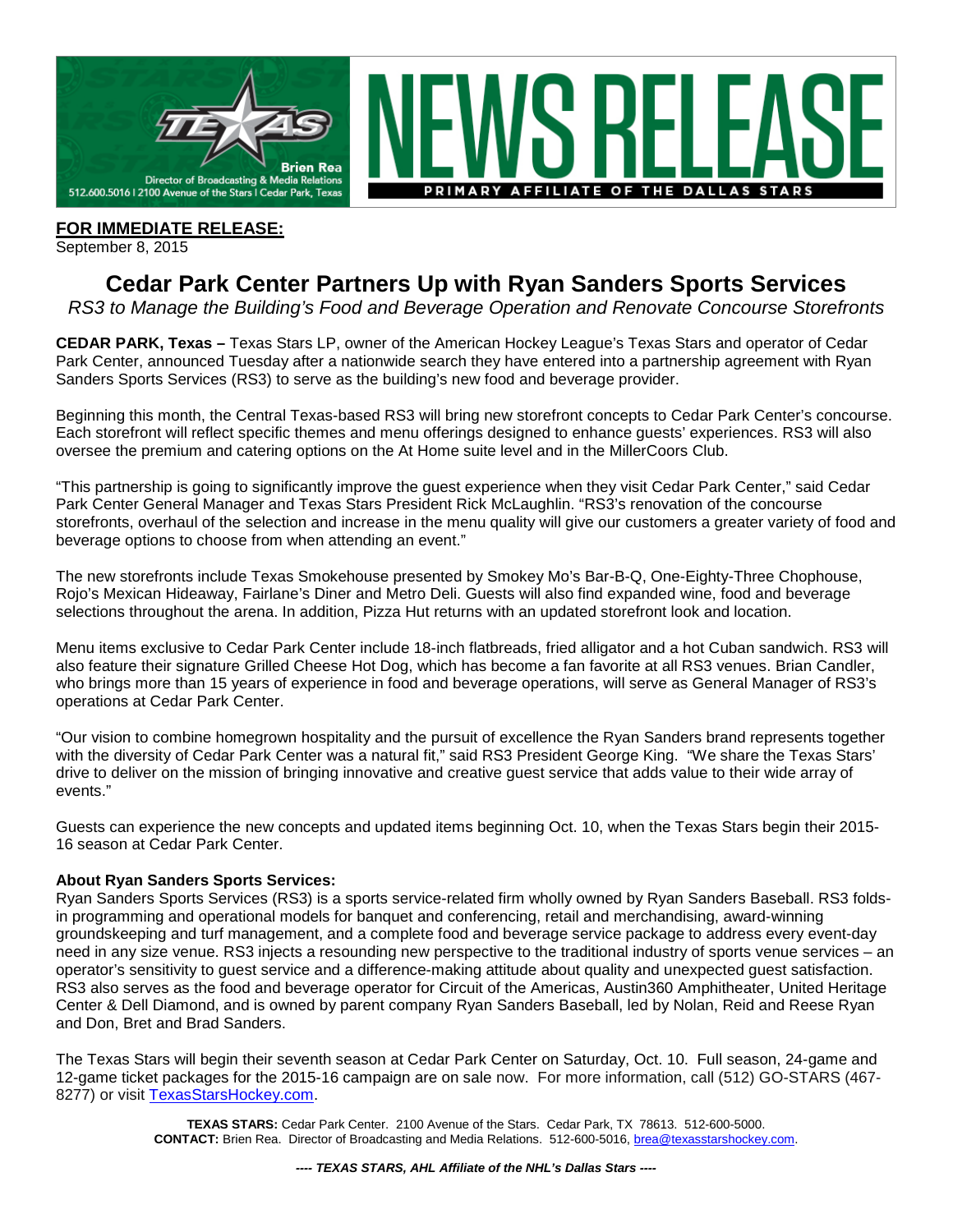

**FOR IMMEDIATE RELEASE:**

September 8, 2015

## **Cedar Park Center Partners Up with Ryan Sanders Sports Services**

*RS3 to Manage the Building's Food and Beverage Operation and Renovate Concourse Storefronts*

**CEDAR PARK, Texas –** Texas Stars LP, owner of the American Hockey League's Texas Stars and operator of Cedar Park Center, announced Tuesday after a nationwide search they have entered into a partnership agreement with Ryan Sanders Sports Services (RS3) to serve as the building's new food and beverage provider.

Beginning this month, the Central Texas-based RS3 will bring new storefront concepts to Cedar Park Center's concourse. Each storefront will reflect specific themes and menu offerings designed to enhance guests' experiences. RS3 will also oversee the premium and catering options on the At Home suite level and in the MillerCoors Club.

"This partnership is going to significantly improve the guest experience when they visit Cedar Park Center," said Cedar Park Center General Manager and Texas Stars President Rick McLaughlin. "RS3's renovation of the concourse storefronts, overhaul of the selection and increase in the menu quality will give our customers a greater variety of food and beverage options to choose from when attending an event."

The new storefronts include Texas Smokehouse presented by Smokey Mo's Bar-B-Q, One-Eighty-Three Chophouse, Rojo's Mexican Hideaway, Fairlane's Diner and Metro Deli. Guests will also find expanded wine, food and beverage selections throughout the arena. In addition, Pizza Hut returns with an updated storefront look and location.

Menu items exclusive to Cedar Park Center include 18-inch flatbreads, fried alligator and a hot Cuban sandwich. RS3 will also feature their signature Grilled Cheese Hot Dog, which has become a fan favorite at all RS3 venues. Brian Candler, who brings more than 15 years of experience in food and beverage operations, will serve as General Manager of RS3's operations at Cedar Park Center.

"Our vision to combine homegrown hospitality and the pursuit of excellence the Ryan Sanders brand represents together with the diversity of Cedar Park Center was a natural fit," said RS3 President George King. "We share the Texas Stars' drive to deliver on the mission of bringing innovative and creative guest service that adds value to their wide array of events."

Guests can experience the new concepts and updated items beginning Oct. 10, when the Texas Stars begin their 2015- 16 season at Cedar Park Center.

### **About Ryan Sanders Sports Services:**

Ryan Sanders Sports Services (RS3) is a sports service-related firm wholly owned by Ryan Sanders Baseball. RS3 foldsin programming and operational models for banquet and conferencing, retail and merchandising, award-winning groundskeeping and turf management, and a complete food and beverage service package to address every event-day need in any size venue. RS3 injects a resounding new perspective to the traditional industry of sports venue services – an operator's sensitivity to guest service and a difference-making attitude about quality and unexpected guest satisfaction. RS3 also serves as the food and beverage operator for Circuit of the Americas, Austin360 Amphitheater, United Heritage Center & Dell Diamond, and is owned by parent company Ryan Sanders Baseball, led by Nolan, Reid and Reese Ryan and Don, Bret and Brad Sanders.

The Texas Stars will begin their seventh season at Cedar Park Center on Saturday, Oct. 10. Full season, 24-game and 12-game ticket packages for the 2015-16 campaign are on sale now. For more information, call (512) GO-STARS (467- 8277) or visit [TexasStarsHockey.com.](http://www.texasstarshockey.com/)

> **TEXAS STARS:** Cedar Park Center. 2100 Avenue of the Stars. Cedar Park, TX 78613. 512-600-5000. **CONTACT:** Brien Rea. Director of Broadcasting and Media Relations. 512-600-5016[, brea@texasstarshockey.com.](mailto:brea@texasstarshockey.com)